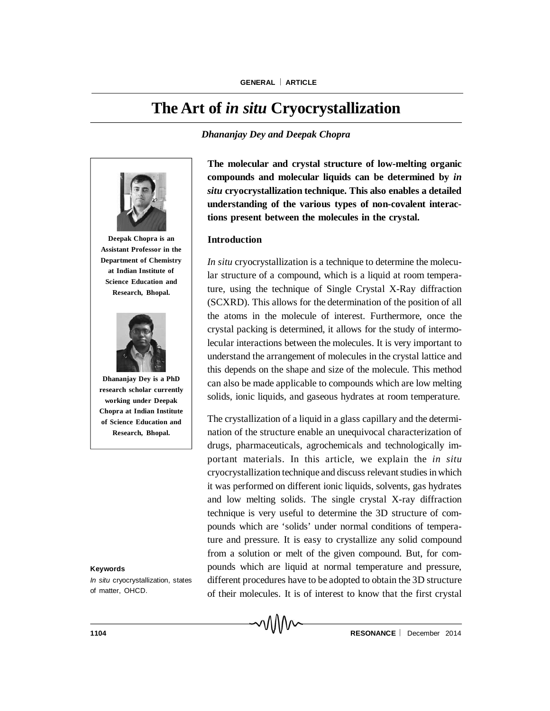# **The Art of** *in situ* **Cryocrystallization**

*Dhananjay Dey and Deepak Chopra*



**Deepak Chopra is an Assistant Professor in the Department of Chemistry at Indian Institute of Science Education and Research, Bhopal.**



**Dhananjay Dey is a PhD research scholar currently working under Deepak Chopra at Indian Institute of Science Education and Research, Bhopal.**

#### **Keywords**

*In situ* cryocrystallization, states of matter, OHCD.

**The molecular and crystal structure of low-melting organic compounds and molecular liquids can be determined by** *in situ* **cryocrystallization technique. This also enables a detailed understanding of the various types of non-covalent interactions present between the molecules in the crystal.**

#### **Introduction**

*In situ* cryocrystallization is a technique to determine the molecular structure of a compound, which is a liquid at room temperature, using the technique of Single Crystal X-Ray diffraction (SCXRD). This allows for the determination of the position of all the atoms in the molecule of interest. Furthermore, once the crystal packing is determined, it allows for the study of intermolecular interactions between the molecules. It is very important to understand the arrangement of molecules in the crystal lattice and this depends on the shape and size of the molecule. This method can also be made applicable to compounds which are low melting solids, ionic liquids, and gaseous hydrates at room temperature.

The crystallization of a liquid in a glass capillary and the determination of the structure enable an unequivocal characterization of drugs, pharmaceuticals, agrochemicals and technologically important materials. In this article, we explain the *in situ* cryocrystallization technique and discuss relevant studies in which it was performed on different ionic liquids, solvents, gas hydrates and low melting solids. The single crystal X-ray diffraction technique is very useful to determine the 3D structure of compounds which are 'solids' under normal conditions of temperature and pressure. It is easy to crystallize any solid compound from a solution or melt of the given compound. But, for compounds which are liquid at normal temperature and pressure, different procedures have to be adopted to obtain the 3D structure of their molecules. It is of interest to know that the first crystal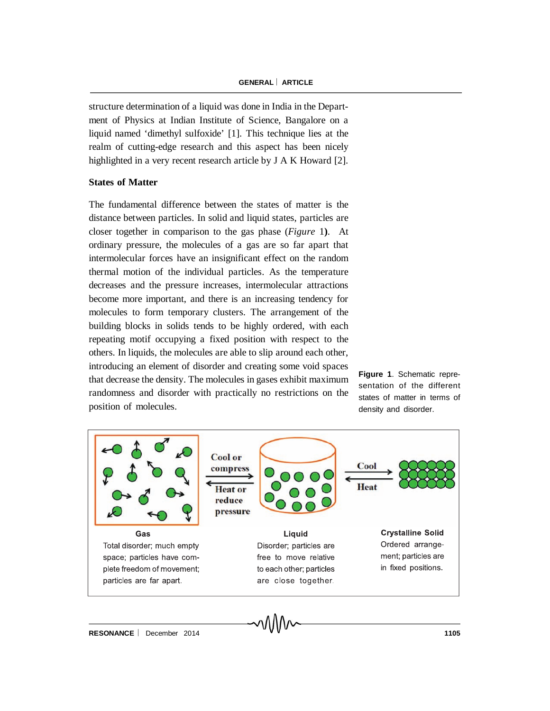structure determination of a liquid was done in India in the Department of Physics at Indian Institute of Science, Bangalore on a liquid named 'dimethyl sulfoxide' [1]. This technique lies at the realm of cutting-edge research and this aspect has been nicely highlighted in a very recent research article by J A K Howard [2].

#### **States of Matter**

The fundamental difference between the states of matter is the distance between particles. In solid and liquid states, particles are closer together in comparison to the gas phase (*Figure* 1**)**. At ordinary pressure, the molecules of a gas are so far apart that intermolecular forces have an insignificant effect on the random thermal motion of the individual particles. As the temperature decreases and the pressure increases, intermolecular attractions become more important, and there is an increasing tendency for molecules to form temporary clusters. The arrangement of the building blocks in solids tends to be highly ordered, with each repeating motif occupying a fixed position with respect to the others. In liquids, the molecules are able to slip around each other, introducing an element of disorder and creating some void spaces that decrease the density. The molecules in gases exhibit maximum randomness and disorder with practically no restrictions on the position of molecules.

**Figure 1**. Schematic representation of the different states of matter in terms of density and disorder.

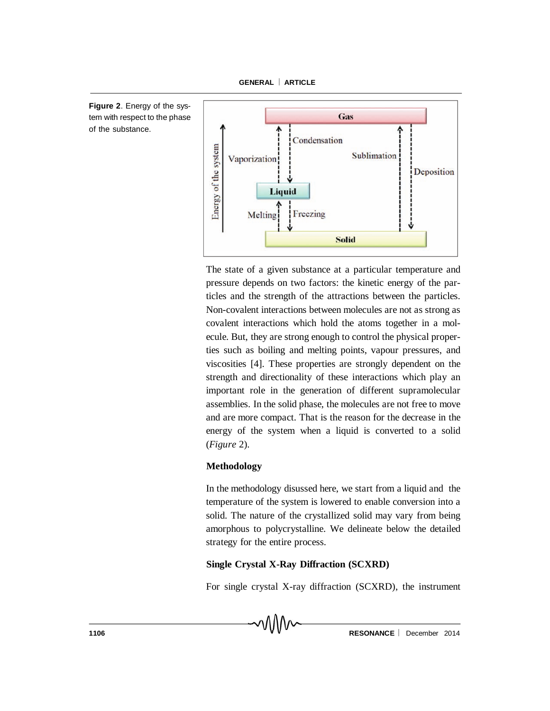



The state of a given substance at a particular temperature and pressure depends on two factors: the kinetic energy of the particles and the strength of the attractions between the particles. Non-covalent interactions between molecules are not as strong as covalent interactions which hold the atoms together in a molecule. But, they are strong enough to control the physical properties such as boiling and melting points, vapour pressures, and viscosities [4]. These properties are strongly dependent on the strength and directionality of these interactions which play an important role in the generation of different supramolecular assemblies. In the solid phase, the molecules are not free to move and are more compact. That is the reason for the decrease in the energy of the system when a liquid is converted to a solid (*Figure* 2).

# **Methodology**

In the methodology disussed here, we start from a liquid and the temperature of the system is lowered to enable conversion into a solid. The nature of the crystallized solid may vary from being amorphous to polycrystalline. We delineate below the detailed strategy for the entire process.

# **Single Crystal X-Ray Diffraction (SCXRD)**

For single crystal X-ray diffraction (SCXRD), the instrument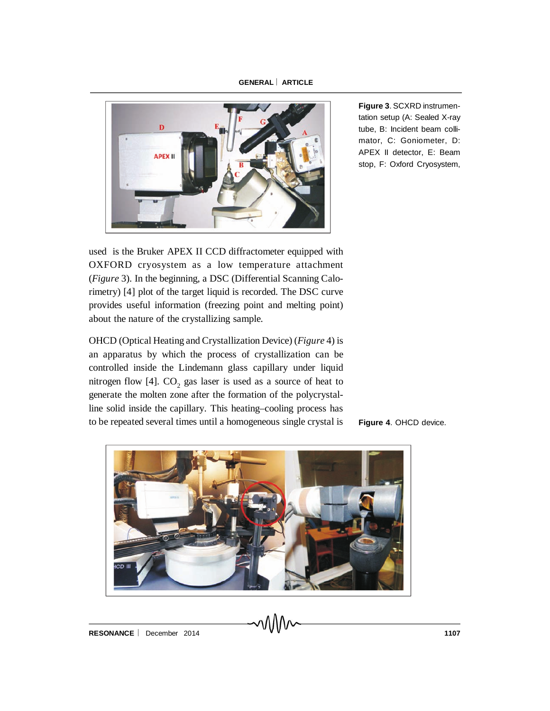

tation setup (A: Sealed X-ray tube, B: Incident beam collimator, C: Goniometer, D: APEX II detector, E: Beam stop, F: Oxford Cryosystem,

**Figure 3**. SCXRD instrumen-

used is the Bruker APEX II CCD diffractometer equipped with OXFORD cryosystem as a low temperature attachment (*Figure* 3). In the beginning, a DSC (Differential Scanning Calorimetry) [4] plot of the target liquid is recorded. The DSC curve provides useful information (freezing point and melting point) about the nature of the crystallizing sample.

OHCD (Optical Heating and Crystallization Device) (*Figure* 4) is an apparatus by which the process of crystallization can be controlled inside the Lindemann glass capillary under liquid nitrogen flow [4].  $CO_2$  gas laser is used as a source of heat to generate the molten zone after the formation of the polycrystalline solid inside the capillary. This heating–cooling process has to be repeated several times until a homogeneous single crystal is

**Figure 4**. OHCD device.

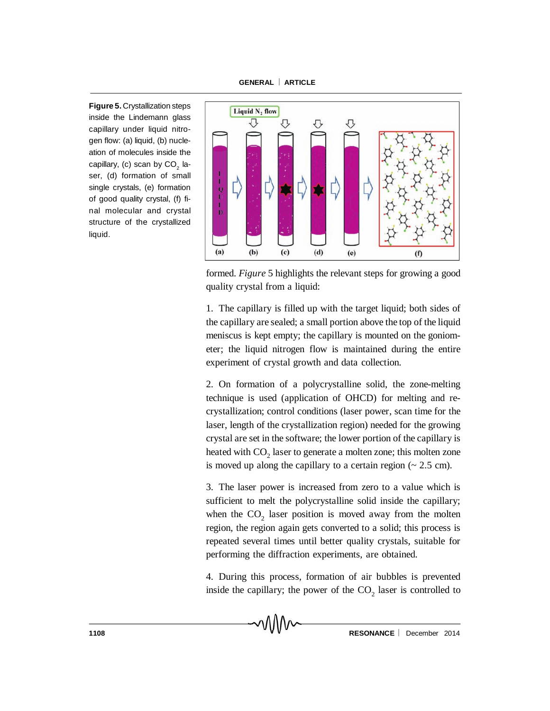**Figure 5.** Crystallization steps inside the Lindemann glass capillary under liquid nitrogen flow: (a) liquid, (b) nucleation of molecules inside the capillary, (c) scan by CO $_{\textrm{\tiny{2}}}$  laser, (d) formation of small single crystals, (e) formation of good quality crystal, (f) final molecular and crystal structure of the crystallized liquid.



formed. *Figure* 5 highlights the relevant steps for growing a good quality crystal from a liquid:

1. The capillary is filled up with the target liquid; both sides of the capillary are sealed; a small portion above the top of the liquid meniscus is kept empty; the capillary is mounted on the goniometer; the liquid nitrogen flow is maintained during the entire experiment of crystal growth and data collection.

2. On formation of a polycrystalline solid, the zone-melting technique is used (application of OHCD) for melting and recrystallization; control conditions (laser power, scan time for the laser, length of the crystallization region) needed for the growing crystal are set in the software; the lower portion of the capillary is heated with  $\mathrm{CO}_2$  laser to generate a molten zone; this molten zone is moved up along the capillary to a certain region  $\approx 2.5$  cm).

3. The laser power is increased from zero to a value which is sufficient to melt the polycrystalline solid inside the capillary; when the  $CO<sub>2</sub>$  laser position is moved away from the molten region, the region again gets converted to a solid; this process is repeated several times until better quality crystals, suitable for performing the diffraction experiments, are obtained.

4. During this process, formation of air bubbles is prevented inside the capillary; the power of the  $CO<sub>2</sub>$  laser is controlled to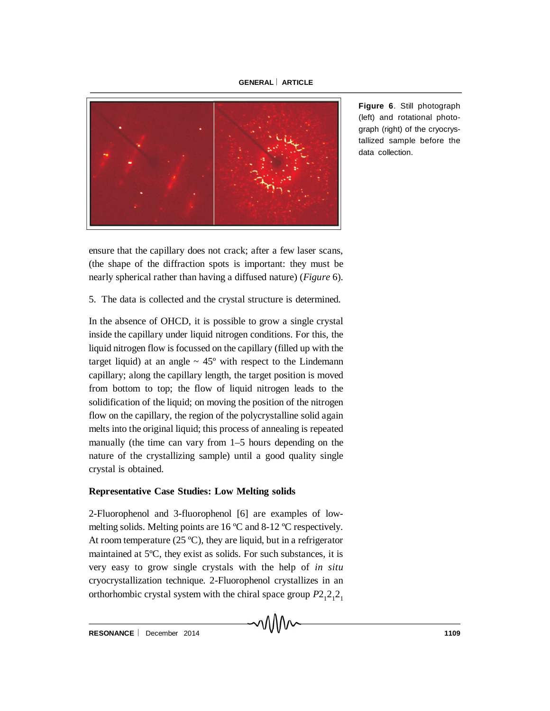

ensure that the capillary does not crack; after a few laser scans, (the shape of the diffraction spots is important: they must be nearly spherical rather than having a diffused nature) (*Figure* 6).

## 5. The data is collected and the crystal structure is determined.

In the absence of OHCD, it is possible to grow a single crystal inside the capillary under liquid nitrogen conditions. For this, the liquid nitrogen flow is focussed on the capillary (filled up with the target liquid) at an angle  $\sim 45^{\circ}$  with respect to the Lindemann capillary; along the capillary length, the target position is moved from bottom to top; the flow of liquid nitrogen leads to the solidification of the liquid; on moving the position of the nitrogen flow on the capillary, the region of the polycrystalline solid again melts into the original liquid; this process of annealing is repeated manually (the time can vary from 1–5 hours depending on the nature of the crystallizing sample) until a good quality single crystal is obtained.

#### **Representative Case Studies: Low Melting solids**

2-Fluorophenol and 3-fluorophenol [6] are examples of lowmelting solids. Melting points are 16 ºC and 8-12 ºC respectively. At room temperature  $(25 \text{ °C})$ , they are liquid, but in a refrigerator maintained at 5ºC, they exist as solids. For such substances, it is very easy to grow single crystals with the help of *in situ* cryocrystallization technique. 2-Fluorophenol crystallizes in an orthorhombic crystal system with the chiral space group  $P2_12_12_1$ 

MM

**Figure 6**. Still photograph (left) and rotational photograph (right) of the cryocrystallized sample before the data collection.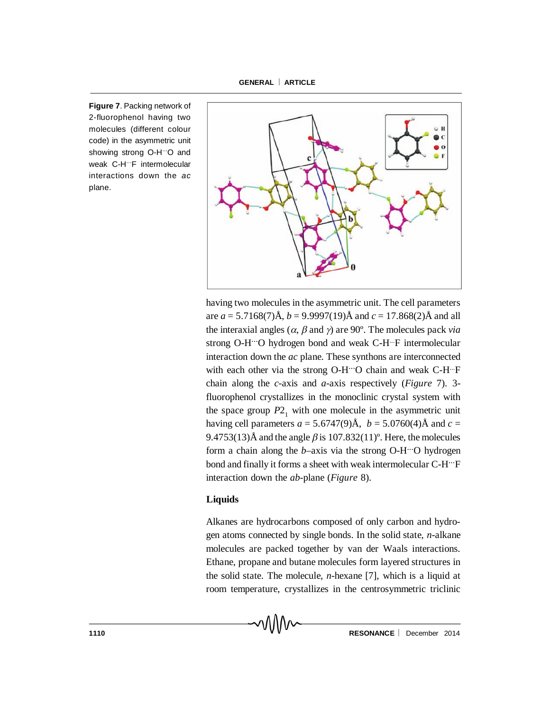**Figure 7**. Packing network of 2-fluorophenol having two molecules (different colour code) in the asymmetric unit showing strong O-H<sup>...</sup>O and weak C-H<sup>...</sup>F intermolecular interactions down the *ac* plane.



having two molecules in the asymmetric unit. The cell parameters are *a* = 5.7168(7)Å, *b* = 9.9997(19)Å and *c* = 17.868(2)Å and all the interaxial angles ( $\alpha$ ,  $\beta$  and  $\gamma$ ) are 90°. The molecules pack *via* strong O-H<sup>---</sup>O hydrogen bond and weak C-H<sup>---</sup>F intermolecular interaction down the *ac* plane. These synthons are interconnected with each other via the strong O-H. O chain and weak C-H. F chain along the *c*-axis and *a*-axis respectively (*Figure* 7). 3 fluorophenol crystallizes in the monoclinic crystal system with the space group  $P2<sub>1</sub>$  with one molecule in the asymmetric unit having cell parameters  $a = 5.6747(9)$ Å,  $b = 5.0760(4)$ Å and  $c =$ 9.4753(13)Å and the angle  $\beta$  is 107.832(11)°. Here, the molecules form a chain along the *b*–axis via the strong O-H<sup>---</sup>O hydrogen bond and finally it forms a sheet with weak intermolecular C-H<sup>---</sup>F interaction down the *ab*-plane (*Figure* 8).

#### **Liquids**

Alkanes are hydrocarbons composed of only carbon and hydrogen atoms connected by single bonds. In the solid state, *n*-alkane molecules are packed together by van der Waals interactions. Ethane, propane and butane molecules form layered structures in the solid state. The molecule, *n*-hexane [7], which is a liquid at room temperature, crystallizes in the centrosymmetric triclinic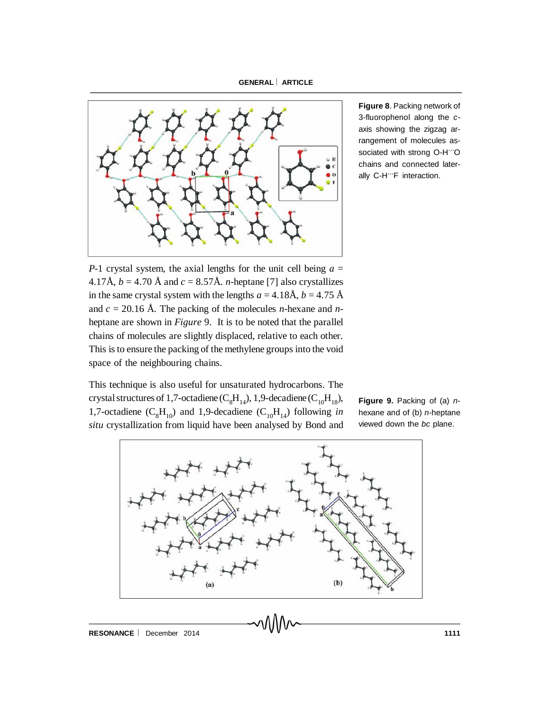

**Figure 8**. Packing network of 3-fluorophenol along the *c*axis showing the zigzag arrangement of molecules associated with strong O-H"O chains and connected laterally C-H"F interaction.

*P*-1 crystal system, the axial lengths for the unit cell being  $a =$ 4.17Å,  $b = 4.70$  Å and  $c = 8.57$ Å. *n*-heptane [7] also crystallizes in the same crystal system with the lengths  $a = 4.18$ Å,  $b = 4.75$ Å and *c* = 20.16 Å. The packing of the molecules *n*-hexane and *n*heptane are shown in *Figure* 9. It is to be noted that the parallel chains of molecules are slightly displaced, relative to each other. This is to ensure the packing of the methylene groups into the void space of the neighbouring chains.

This technique is also useful for unsaturated hydrocarbons. The crystal structures of 1,7-octadiene ( $C_8H_{14}$ ), 1,9-decadiene ( $C_{10}H_{18}$ ), 1,7-octadiene  $(C_8H_{10})$  and 1,9-decadiene  $(C_{10}H_{14})$  following *in situ* crystallization from liquid have been analysed by Bond and

**Figure 9.** Packing of (a) *n*hexane and of (b) *n*-heptane viewed down the *bc* plane.

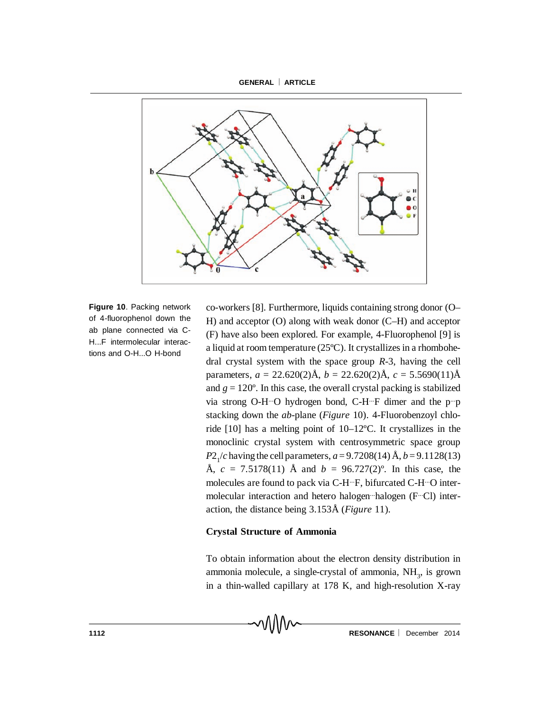

**Figure 10**. Packing network of 4-fluorophenol down the ab plane connected via C-H...F intermolecular interactions and O-H...O H-bond

co-workers [8]. Furthermore, liquids containing strong donor (O– H) and acceptor (O) along with weak donor (C–H) and acceptor (F) have also been explored. For example, 4-Fluorophenol [9] is a liquid at room temperature (25ºC). It crystallizes in a rhombohedral crystal system with the space group *R*-3, having the cell parameters,  $a = 22.620(2)$ Å,  $b = 22.620(2)$ Å,  $c = 5.5690(11)$ Å and  $g = 120^\circ$ . In this case, the overall crystal packing is stabilized via strong O-H-O hydrogen bond, C-H-F dimer and the p-p stacking down the *ab*-plane (*Figure* 10). 4-Fluorobenzoyl chloride [10] has a melting point of 10–12ºC. It crystallizes in the monoclinic crystal system with centrosymmetric space group *P*2<sub>1</sub>/*c* having the cell parameters, *a* = 9.7208(14) Å, *b* = 9.1128(13) Å,  $c = 7.5178(11)$  Å and  $b = 96.727(2)$ °. In this case, the molecules are found to pack via C-H-F, bifurcated C-H-O intermolecular interaction and hetero halogen halogen (F. Cl) interaction, the distance being 3.153Å (*Figure* 11).

#### **Crystal Structure of Ammonia**

To obtain information about the electron density distribution in ammonia molecule, a single-crystal of ammonia,  $NH<sub>3</sub>$ , is grown in a thin-walled capillary at 178 K, and high-resolution X-ray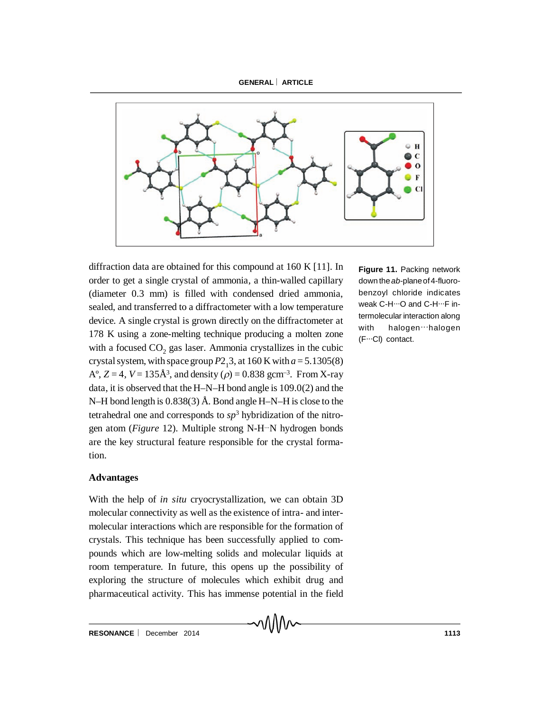

diffraction data are obtained for this compound at 160 K [11]. In order to get a single crystal of ammonia, a thin-walled capillary (diameter 0.3 mm) is filled with condensed dried ammonia, sealed, and transferred to a diffractometer with a low temperature device. A single crystal is grown directly on the diffractometer at with 178 K using a zone-melting technique producing a molten zone with a focused  $CO_2$  gas laser. Ammonia crystallizes in the cubic crystal system, with space group  $P2<sub>1</sub>3$ , at 160 K with  $a = 5.1305(8)$  $A^{\circ}$ ,  $Z = 4$ ,  $V = 135 \AA^{3}$ , and density ( $\rho$ ) = 0.838 gcm<sup>-3</sup>. From X-ray data, it is observed that the H–N–H bond angle is 109.0(2) and the N–H bond length is 0.838(3) Å. Bond angle H–N–H is close to the tetrahedral one and corresponds to  $sp<sup>3</sup>$  hybridization of the nitrogen atom (*Figure* 12). Multiple strong N-H<sup>---</sup>N hydrogen bonds are the key structural feature responsible for the crystal formation.

#### **Advantages**

With the help of *in situ* cryocrystallization, we can obtain 3D molecular connectivity as well as the existence of intra- and intermolecular interactions which are responsible for the formation of crystals. This technique has been successfully applied to compounds which are low-melting solids and molecular liquids at room temperature. In future, this opens up the possibility of exploring the structure of molecules which exhibit drug and pharmaceutical activity. This has immense potential in the field

**Figure 11.** Packing network down the*ab*-planeof4-fluorobenzoyl chloride indicates weak C-H $\cdots$ O and C-H $\cdots$ F intermolecular interaction along halogen...halogen (F...Cl) contact.